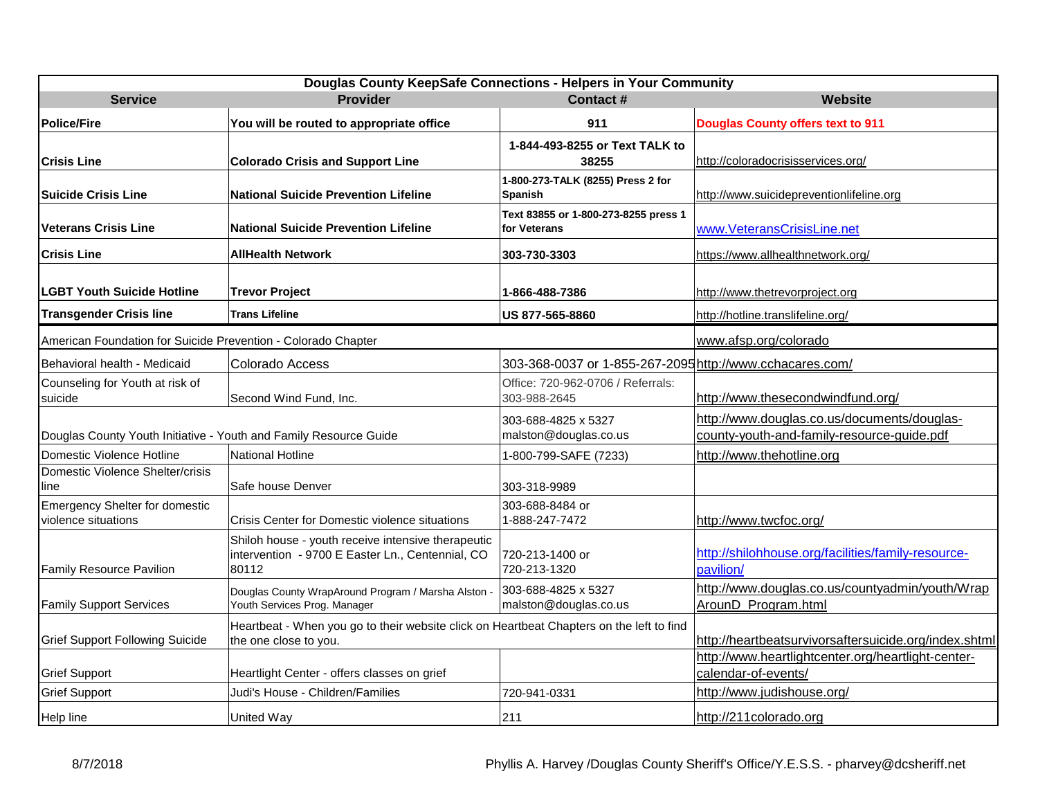| Douglas County KeepSafe Connections - Helpers in Your Community   |                                                                                                                   |                                                          |                                                                                           |  |
|-------------------------------------------------------------------|-------------------------------------------------------------------------------------------------------------------|----------------------------------------------------------|-------------------------------------------------------------------------------------------|--|
| <b>Service</b>                                                    | <b>Provider</b>                                                                                                   | <b>Contact#</b>                                          | Website                                                                                   |  |
| <b>Police/Fire</b>                                                | You will be routed to appropriate office                                                                          | 911                                                      | <b>Douglas County offers text to 911</b>                                                  |  |
| <b>Crisis Line</b>                                                | <b>Colorado Crisis and Support Line</b>                                                                           | 1-844-493-8255 or Text TALK to<br>38255                  | http://coloradocrisisservices.org/                                                        |  |
| <b>Suicide Crisis Line</b>                                        | <b>National Suicide Prevention Lifeline</b>                                                                       | 1-800-273-TALK (8255) Press 2 for<br>Spanish             | http://www.suicidepreventionlifeline.org                                                  |  |
| <b>Veterans Crisis Line</b>                                       | <b>National Suicide Prevention Lifeline</b>                                                                       | Text 83855 or 1-800-273-8255 press 1<br>for Veterans     | www.VeteransCrisisLine.net                                                                |  |
| <b>Crisis Line</b>                                                | <b>AllHealth Network</b>                                                                                          | 303-730-3303                                             | https://www.allhealthnetwork.org/                                                         |  |
| <b>LGBT Youth Suicide Hotline</b>                                 | <b>Trevor Project</b>                                                                                             | 1-866-488-7386                                           | http://www.thetrevorproject.org                                                           |  |
| <b>Transgender Crisis line</b>                                    | <b>Trans Lifeline</b>                                                                                             | US 877-565-8860                                          | http://hotline.translifeline.org/                                                         |  |
| American Foundation for Suicide Prevention - Colorado Chapter     |                                                                                                                   |                                                          | www.afsp.org/colorado                                                                     |  |
| Behavioral health - Medicaid                                      | Colorado Access                                                                                                   | 303-368-0037 or 1-855-267-2095 http://www.cchacares.com/ |                                                                                           |  |
| Counseling for Youth at risk of<br>suicide                        | Second Wind Fund, Inc.                                                                                            | Office: 720-962-0706 / Referrals:<br>303-988-2645        | http://www.thesecondwindfund.org/                                                         |  |
| Douglas County Youth Initiative - Youth and Family Resource Guide |                                                                                                                   | 303-688-4825 x 5327<br>malston@douglas.co.us             | http://www.douglas.co.us/documents/douglas-<br>county-youth-and-family-resource-guide.pdf |  |
| Domestic Violence Hotline                                         | <b>National Hotline</b>                                                                                           | 1-800-799-SAFE (7233)                                    | http://www.thehotline.org                                                                 |  |
| Domestic Violence Shelter/crisis<br>line                          | Safe house Denver                                                                                                 | 303-318-9989                                             |                                                                                           |  |
| <b>Emergency Shelter for domestic</b><br>violence situations      | Crisis Center for Domestic violence situations                                                                    | 303-688-8484 or<br>1-888-247-7472                        | http://www.twcfoc.org/                                                                    |  |
| Family Resource Pavilion                                          | Shiloh house - youth receive intensive therapeutic<br>intervention - 9700 E Easter Ln., Centennial, CO<br>80112   | 720-213-1400 or<br>720-213-1320                          | http://shilohhouse.org/facilities/family-resource-<br>pavilion/                           |  |
| <b>Family Support Services</b>                                    | Douglas County WrapAround Program / Marsha Alston -<br>Youth Services Prog. Manager                               | 303-688-4825 x 5327<br>malston@douglas.co.us             | http://www.douglas.co.us/countyadmin/youth/Wrap<br>ArounD_Program.html                    |  |
| <b>Grief Support Following Suicide</b>                            | Heartbeat - When you go to their website click on Heartbeat Chapters on the left to find<br>the one close to you. |                                                          | http://heartbeatsurvivorsaftersuicide.org/index.shtml                                     |  |
| <b>Grief Support</b>                                              | Heartlight Center - offers classes on grief                                                                       |                                                          | http://www.heartlightcenter.org/heartlight-center-<br>calendar-of-events/                 |  |
| <b>Grief Support</b>                                              | Judi's House - Children/Families                                                                                  | 720-941-0331                                             | http://www.judishouse.org/                                                                |  |
| Help line                                                         | <b>United Way</b>                                                                                                 | 211                                                      | http://211colorado.org                                                                    |  |